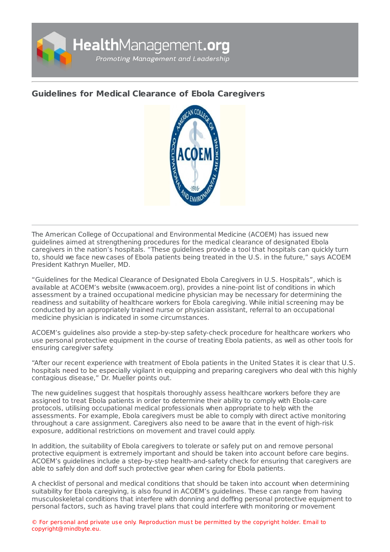

## **Guidelines for Medical Clearance of Ebola [Caregivers](https://healthmanagement.org/s/guidelines-for-medical-clearance-of-ebola-caregivers)**



The American College of Occupational and Environmental Medicine (ACOEM) has issued new guidelines aimed at strengthening procedures for the medical clearance of designated Ebola caregivers in the nation's hospitals. "These guidelines provide a tool that hospitals can quickly turn to, should we face new cases of Ebola patients being treated in the U.S. in the future," says ACOEM President Kathryn Mueller, MD.

"Guidelines for the Medical Clearance of Designated Ebola Caregivers in U.S. Hospitals", which is available at ACOEM's website (www.acoem.org), provides a nine-point list of conditions in which assessment by a trained occupational medicine physician may be necessary for determining the readiness and suitability of healthcare workers for Ebola caregiving. While initial screening may be conducted by an appropriately trained nurse or physician assistant, referral to an occupational medicine physician is indicated in some circumstances.

ACOEM's guidelines also provide a step-by-step safety-check procedure for healthcare workers who use personal protective equipment in the course of treating Ebola patients, as well as other tools for ensuring caregiver safety.

"After our recent experience with treatment of Ebola patients in the United States it is clear that U.S. hospitals need to be especially vigilant in equipping and preparing caregivers who deal with this highly contagious disease," Dr. Mueller points out.

The new guidelines suggest that hospitals thoroughly assess healthcare workers before they are assigned to treat Ebola patients in order to determine their ability to comply with Ebola-care protocols, utilising occupational medical professionals when appropriate to help with the assessments. For example, Ebola caregivers must be able to comply with direct active monitoring throughout a care assignment. Caregivers also need to be aware that in the event of high-risk exposure, additional restrictions on movement and travel could apply.

In addition, the suitability of Ebola caregivers to tolerate or safely put on and remove personal protective equipment is extremely important and should be taken into account before care begins. ACOEM's guidelines include a step-by-step health-and-safety check for ensuring that caregivers are able to safely don and doff such protective gear when caring for Ebola patients.

A checklist of personal and medical conditions that should be taken into account when determining suitability for Ebola caregiving, is also found in ACOEM's guidelines. These can range from having musculoskeletal conditions that interfere with donning and doffing personal protective equipment to personal factors, such as having travel plans that could interfere with monitoring or movement

© For personal and private use only. Reproduction must be permitted by the copyright holder. Email to copyright@mindbyte.eu.